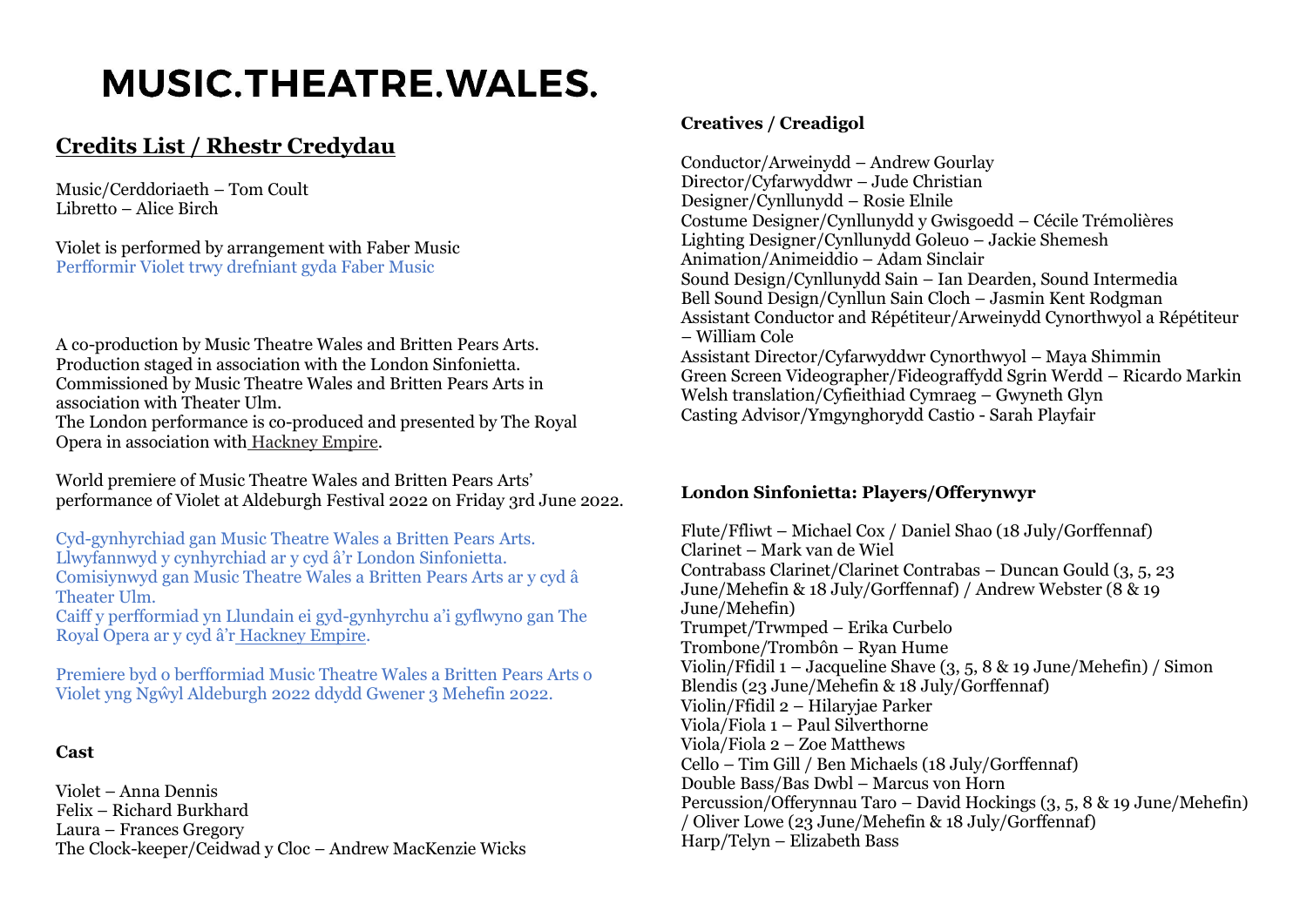# **MUSIC.THEATRE.WALES.**

# **Credits List / Rhestr Credydau**

Music/Cerddoriaeth – Tom Coult Libretto – Alice Birch

Violet is performed by arrangement with Faber Music Perfformir Violet trwy drefniant gyda Faber Music

A co-production by Music Theatre Wales and Britten Pears Arts. Production staged in association with the London Sinfonietta. Commissioned by Music Theatre Wales and Britten Pears Arts in association with Theater Ulm. The London performance is co-produced and presented by The Royal Opera in association with [Hackney Empire.](https://hackneyempire.co.uk/)

World premiere of Music Theatre Wales and Britten Pears Arts' performance of Violet at Aldeburgh Festival 2022 on Friday 3rd June 2022.

Cyd-gynhyrchiad gan Music Theatre Wales a Britten Pears Arts. Llwyfannwyd y cynhyrchiad ar y cyd â'r London Sinfonietta. Comisiynwyd gan Music Theatre Wales a Britten Pears Arts ar y cyd â Theater Ulm.

Caiff y perfformiad yn Llundain ei gyd-gynhyrchu a'i gyflwyno gan The Royal Opera ar y cyd â'r [Hackney Empire.](https://hackneyempire.co.uk/)

Premiere byd o berfformiad Music Theatre Wales a Britten Pears Arts o Violet yng Ngŵyl Aldeburgh 2022 ddydd Gwener 3 Mehefin 2022.

# **Cast**

Violet – Anna Dennis Felix – Richard Burkhard Laura – Frances Gregory The Clock-keeper/Ceidwad y Cloc – Andrew MacKenzie Wicks

### **Creatives / Creadigol**

Conductor/Arweinydd – Andrew Gourlay Director/Cyfarwyddwr – Jude Christian Designer/Cynllunydd – Rosie Elnile Costume Designer/Cynllunydd y Gwisgoedd – Cécile Trémolières Lighting Designer/Cynllunydd Goleuo – Jackie Shemesh Animation/Animeiddio – Adam Sinclair Sound Design/Cynllunydd Sain – Ian Dearden, Sound Intermedia Bell Sound Design/Cynllun Sain Cloch – Jasmin Kent Rodgman Assistant Conductor and Répétiteur/Arweinydd Cynorthwyol a Répétiteur – William Cole Assistant Director/Cyfarwyddwr Cynorthwyol – Maya Shimmin Green Screen Videographer/Fideograffydd Sgrin Werdd – Ricardo Markin Welsh translation/Cyfieithiad Cymraeg – Gwyneth Glyn Casting Advisor/Ymgynghorydd Castio - Sarah Playfair

#### **London Sinfonietta: Players/Offerynwyr**

Flute/Ffliwt – Michael Cox / Daniel Shao (18 July/Gorffennaf) Clarinet – Mark van de Wiel Contrabass Clarinet/Clarinet Contrabas – Duncan Gould (3, 5, 23 June/Mehefin & 18 July/Gorffennaf) / Andrew Webster (8 & 19 June/Mehefin) Trumpet/Trwmped – Erika Curbelo Trombone/Trombôn – Ryan Hume Violin/Ffidil 1 – Jacqueline Shave (3, 5, 8 & 19 June/Mehefin) / Simon Blendis (23 June/Mehefin & 18 July/Gorffennaf) Violin/Ffidil 2 – Hilaryjae Parker Viola/Fiola 1 – Paul Silverthorne Viola/Fiola 2 – Zoe Matthews Cello – Tim Gill / Ben Michaels (18 July/Gorffennaf) Double Bass/Bas Dwbl – Marcus von Horn Percussion/Offerynnau Taro – David Hockings (3, 5, 8 & 19 June/Mehefin) / Oliver Lowe (23 June/Mehefin & 18 July/Gorffennaf) Harp/Telyn – Elizabeth Bass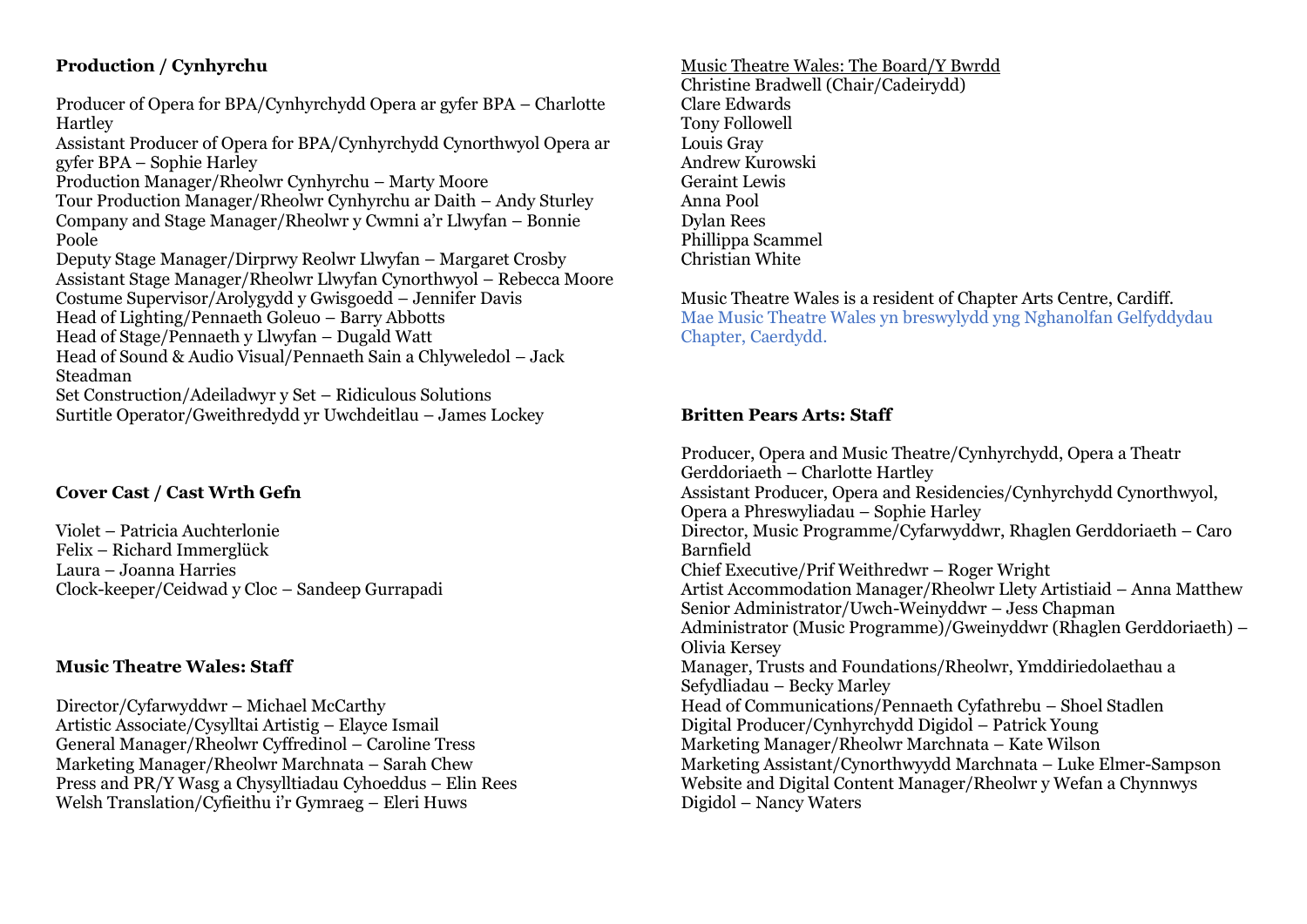# **Production / Cynhyrchu**

Producer of Opera for BPA/Cynhyrchydd Opera ar gyfer BPA – Charlotte Hartley Assistant Producer of Opera for BPA/Cynhyrchydd Cynorthwyol Opera ar gyfer BPA – Sophie Harley Production Manager/Rheolwr Cynhyrchu – Marty Moore Tour Production Manager/Rheolwr Cynhyrchu ar Daith – Andy Sturley Company and Stage Manager/Rheolwr y Cwmni a'r Llwyfan – Bonnie Poole Deputy Stage Manager/Dirprwy Reolwr Llwyfan – Margaret Crosby Assistant Stage Manager/Rheolwr Llwyfan Cynorthwyol – Rebecca Moore Costume Supervisor/Arolygydd y Gwisgoedd – Jennifer Davis Head of Lighting/Pennaeth Goleuo – Barry Abbotts Head of Stage/Pennaeth y Llwyfan – Dugald Watt Head of Sound & Audio Visual/Pennaeth Sain a Chlyweledol – Jack Steadman Set Construction/Adeiladwyr y Set – Ridiculous Solutions Surtitle Operator/Gweithredydd yr Uwchdeitlau – James Lockey

# **Cover Cast / Cast Wrth Gefn**

Violet – Patricia Auchterlonie Felix – Richard Immerglück Laura – Joanna Harries Clock-keeper/Ceidwad y Cloc – Sandeep Gurrapadi

# **Music Theatre Wales: Staff**

Director/Cyfarwyddwr – Michael McCarthy Artistic Associate/Cysylltai Artistig – Elayce Ismail General Manager/Rheolwr Cyffredinol – Caroline Tress Marketing Manager/Rheolwr Marchnata – Sarah Chew Press and PR/Y Wasg a Chysylltiadau Cyhoeddus – Elin Rees Welsh Translation/Cyfieithu i'r Gymraeg – Eleri Huws

#### Music Theatre Wales: The Board/Y Bwrdd Christine Bradwell (Chair/Cadeirydd) Clare Edwards Tony Followell Louis Gray Andrew Kurowski Geraint Lewis Anna Pool Dylan Rees Phillippa Scammel Christian White

Music Theatre Wales is a resident of Chapter Arts Centre, Cardiff. Mae Music Theatre Wales yn breswylydd yng Nghanolfan Gelfyddydau Chapter, Caerdydd.

# **Britten Pears Arts: Staff**

Producer, Opera and Music Theatre/Cynhyrchydd, Opera a Theatr Gerddoriaeth – Charlotte Hartley Assistant Producer, Opera and Residencies/Cynhyrchydd Cynorthwyol, Opera a Phreswyliadau – Sophie Harley Director, Music Programme/Cyfarwyddwr, Rhaglen Gerddoriaeth – Caro Barnfield Chief Executive/Prif Weithredwr – Roger Wright Artist Accommodation Manager/Rheolwr Llety Artistiaid – Anna Matthew Senior Administrator/Uwch-Weinyddwr – Jess Chapman Administrator (Music Programme)/Gweinyddwr (Rhaglen Gerddoriaeth) – Olivia Kersey Manager, Trusts and Foundations/Rheolwr, Ymddiriedolaethau a Sefydliadau – Becky Marley Head of Communications/Pennaeth Cyfathrebu – Shoel Stadlen Digital Producer/Cynhyrchydd Digidol – Patrick Young Marketing Manager/Rheolwr Marchnata – Kate Wilson Marketing Assistant/Cynorthwyydd Marchnata – Luke Elmer-Sampson Website and Digital Content Manager/Rheolwr y Wefan a Chynnwys Digidol – Nancy Waters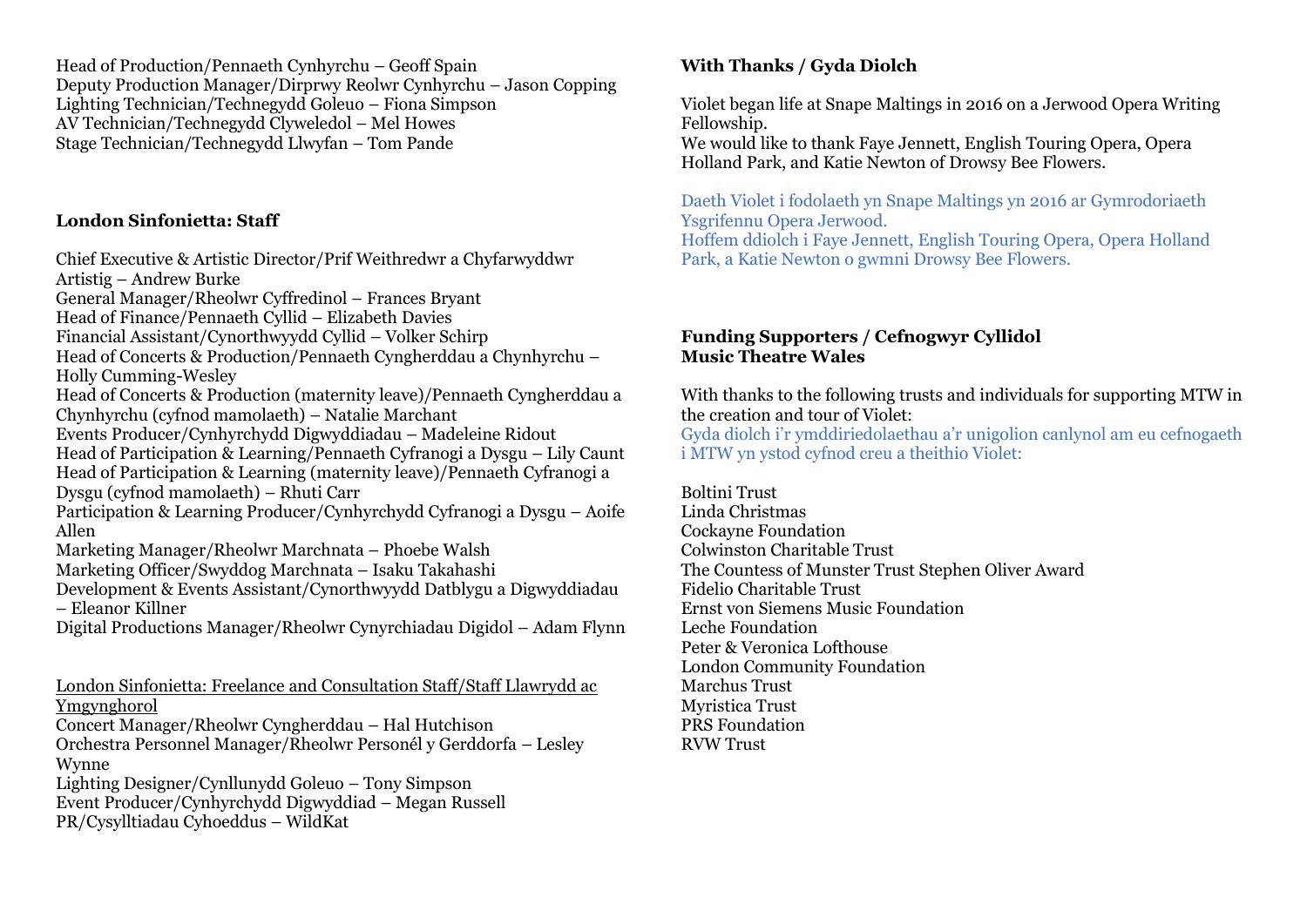Head of Production/Pennaeth Cynhyrchu – Geoff Spain Deputy Production Manager/Dirprwy Reolwr Cynhyrchu – Jason Copping Lighting Technician/Technegydd Goleuo – Fiona Simpson AV Technician/Technegydd Clyweledol – Mel Howes Stage Technician/Technegydd Llwyfan – Tom Pande

# **London Sinfonietta: Staff**

Chief Executive & Artistic Director/Prif Weithredwr a Chyfarwyddwr Artistig – Andrew Burke General Manager/Rheolwr Cyffredinol – Frances Bryant Head of Finance/Pennaeth Cyllid – Elizabeth Davies Financial Assistant/Cynorthwyydd Cyllid – Volker Schirp Head of Concerts & Production/Pennaeth Cyngherddau a Chynhyrchu – Holly Cumming-Wesley Head of Concerts & Production (maternity leave)/Pennaeth Cyngherddau a Chynhyrchu (cyfnod mamolaeth) – Natalie Marchant Events Producer/Cynhyrchydd Digwyddiadau – Madeleine Ridout Head of Participation & Learning/Pennaeth Cyfranogi a Dysgu – Lily Caunt Head of Participation & Learning (maternity leave)/Pennaeth Cyfranogi a Dysgu (cyfnod mamolaeth) – Rhuti Carr Participation & Learning Producer/Cynhyrchydd Cyfranogi a Dysgu – Aoife Allen Marketing Manager/Rheolwr Marchnata – Phoebe Walsh Marketing Officer/Swyddog Marchnata – Isaku Takahashi Development & Events Assistant/Cynorthwyydd Datblygu a Digwyddiadau – Eleanor Killner Digital Productions Manager/Rheolwr Cynyrchiadau Digidol – Adam Flynn London Sinfonietta: Freelance and Consultation Staff/Staff Llawrydd ac Ymgynghorol Concert Manager/Rheolwr Cyngherddau – Hal Hutchison Orchestra Personnel Manager/Rheolwr Personél y Gerddorfa – Lesley Wynne

Lighting Designer/Cynllunydd Goleuo – Tony Simpson

Event Producer/Cynhyrchydd Digwyddiad – Megan Russell PR/Cysylltiadau Cyhoeddus – WildKat

# **With Thanks / Gyda Diolch**

Violet began life at Snape Maltings in 2016 on a Jerwood Opera Writing Fellowship.

We would like to thank Faye Jennett, English Touring Opera, Opera Holland Park, and Katie Newton of Drowsy Bee Flowers.

Daeth Violet i fodolaeth yn Snape Maltings yn 2016 ar Gymrodoriaeth Ysgrifennu Opera Jerwood. Hoffem ddiolch i Faye Jennett, English Touring Opera, Opera Holland Park, a Katie Newton o gwmni Drowsy Bee Flowers.

# **Funding Supporters / Cefnogwyr Cyllidol Music Theatre Wales**

With thanks to the following trusts and individuals for supporting MTW in the creation and tour of Violet:

Gyda diolch i'r ymddiriedolaethau a'r unigolion canlynol am eu cefnogaeth i MTW yn ystod cyfnod creu a theithio Violet:

Boltini Trust Linda Christmas Cockayne Foundation Colwinston Charitable Trust The Countess of Munster Trust Stephen Oliver Award Fidelio Charitable Trust Ernst von Siemens Music Foundation Leche Foundation Peter & Veronica Lofthouse London Community Foundation Marchus Trust Myristica Trust PRS Foundation RVW Trust